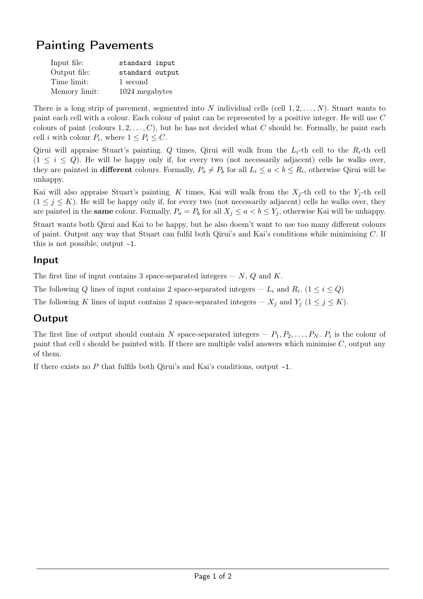# Painting Pavements

| Input file:   | standard input  |
|---------------|-----------------|
| Output file:  | standard output |
| Time limit:   | 1 second        |
| Memory limit: | 1024 megabytes  |

There is a long strip of pavement, segmented into N individual cells (cell  $1, 2, \ldots, N$ ). Stuart wants to paint each cell with a colour. Each colour of paint can be represented by a positive integer. He will use C colours of paint (colours  $1, 2, \ldots, C$ ), but he has not decided what C should be. Formally, he paint each cell *i* with colour  $P_i$ , where  $1 \leq P_i \leq C$ .

Qirui will appraise Stuart's painting. Q times, Qirui will walk from the  $L_i$ -th cell to the  $R_i$ -th cell  $(1 \leq i \leq Q)$ . He will be happy only if, for every two (not necessarily adjacent) cells he walks over, they are painted in **different** colours. Formally,  $P_a \neq P_b$  for all  $L_i \leq a < b \leq R_i$ , otherwise Qirui will be unhappy.

Kai will also appraise Stuart's painting. K times, Kai will walk from the  $X_i$ -th cell to the  $Y_i$ -th cell  $(1 \leq j \leq K)$ . He will be happy only if, for every two (not necessarily adjacent) cells he walks over, they are painted in the **same** colour. Formally,  $P_a = P_b$  for all  $X_j \le a < b \le Y_j$ , otherwise Kai will be unhappy.

Stuart wants both Qirui and Kai to be happy, but he also doesn't want to use too many different colours of paint. Output any way that Stuart can fulfil both Qirui's and Kai's conditions while minimising C. If this is not possible, output -1.

#### Input

The first line of input contains 3 space-separated integers  $- N$ , Q and K.

The following Q lines of input contains 2 space-separated integers  $-L_i$  and  $R_i$ .  $(1 \leq i \leq Q)$ 

The following K lines of input contains 2 space-separated integers –  $X_j$  and  $Y_j$  ( $1 \le j \le K$ ).

### **Output**

The first line of output should contain N space-separated integers  $-P_1, P_2, \ldots, P_N$ .  $P_i$  is the colour of paint that cell i should be painted with. If there are multiple valid answers which minimise  $C$ , output any of them.

If there exists no  $P$  that fulfils both Qirui's and Kai's conditions, output  $-1$ .